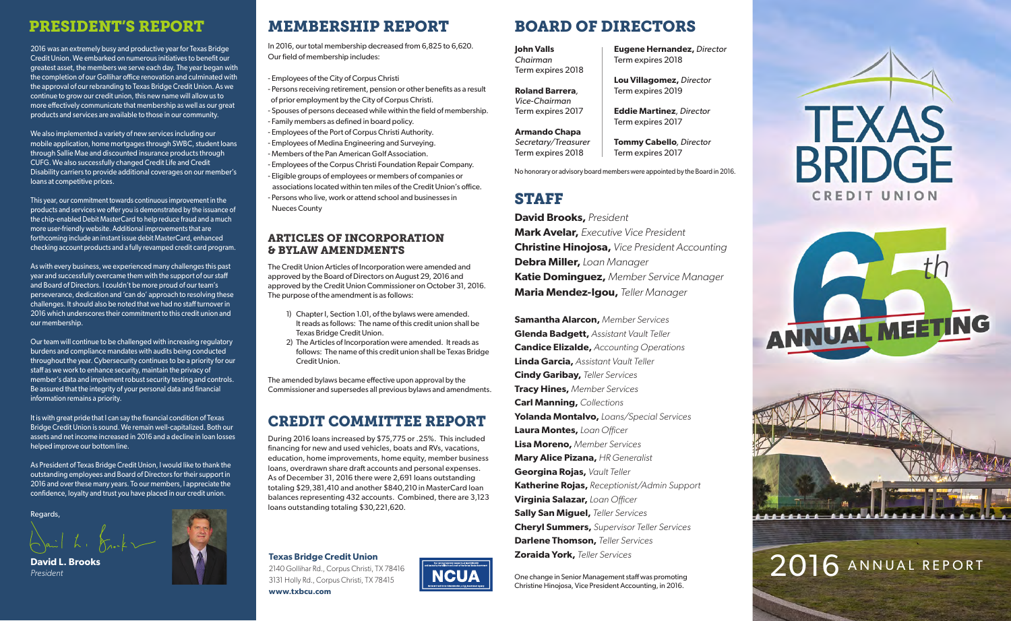### PRESIDENT'S REPORT

2016 was an extremely busy and productive year for Texas Bridge Credit Union. We embarked on numerous initiatives to benefit our greatest asset, the members we serve each day. The year began with the completion of our Gollihar office renovation and culminated with the approval of our rebranding to Texas Bridge Credit Union. As we continue to grow our credit union, this new name will allow us to more effectively communicate that membership as well as our great products and services are available to those in our community.

We also implemented a variety of new services including our mobile application, home mortgages through SWBC, student loans through Sallie Mae and discounted insurance products through CUFG. We also successfully changed Credit Life and Credit Disability carriers to provide additional coverages on our member's loans at competitive prices.

This year, our commitment towards continuous improvement in the products and services we offer you is demonstrated by the issuance of the chip-enabled Debit MasterCard to help reduce fraud and a much more user-friendly website. Additional improvements that are forthcoming include an instant issue debit MasterCard, enhanced checking account products and a fully revamped credit card program.

As with every business, we experienced many challenges this past year and successfully overcame them with the support of our staff and Board of Directors. I couldn't be more proud of our team's perseverance, dedication and 'can do' approach to resolving these challenges. It should also be noted that we had no staff turnover in 2016 which underscores their commitment to this credit union and our membership.

Our team will continue to be challenged with increasing regulatory burdens and compliance mandates with audits being conducted throughout the year. Cybersecurity continues to be a priority for our staff as we work to enhance security, maintain the privacy of member's data and implement robust security testing and controls. Be assured that the integrity of your personal data and financial information remains a priority.

It is with great pride that I can say the financial condition of Texas Bridge Credit Union is sound. We remain well-capitalized. Both our assets and net income increased in 2016 and a decline in loan losses helped improve our bottom line.

As President of Texas Bridge Credit Union, I would like to thank the outstanding employees and Board of Directors for their support in 2016 and over these many years. To our members, I appreciate the confidence, loyalty and trust you have placed in our credit union.

Regards,



# MEMBERSHIP REPORT BOARD OF DIRECTORS

In 2016, our total membership decreased from 6,825 to 6,620. Our field of membership includes:

- Employees of the City of Corpus Christi - Persons receiving retirement, pension or other benefits as a result of prior employment by the City of Corpus Christi. - Spouses of persons deceased while within the field of membership. - Family members as defined in board policy. - Employees of the Port of Corpus Christi Authority. - Employees of Medina Engineering and Surveying. - Members of the Pan American Golf Association.

- Employees of the Corpus Christi Foundation Repair Company. - Eligible groups of employees or members of companies or associations located within ten miles of the Credit Union's office. - Persons who live, work or attend school and businesses in Nueces County

#### ARTICLES OF INCORPORATION & BYLAW AMENDMENTS

The Credit Union Articles of Incorporation were amended and approved by the Board of Directors on August 29, 2016 and approved by the Credit Union Commissioner on October 31, 2016. The purpose of the amendment is as follows:

- 1) Chapter I, Section 1.01, of the bylaws were amended. It reads as follows: The name of this credit union shall be Texas Bridge Credit Union.
- 2) The Articles of Incorporation were amended. It reads as follows: The name of this credit union shall be Texas Bridge Credit Union.

The amended bylaws became effective upon approval by the Commissioner and supersedes all previous bylaws and amendments.

## CREDIT COMMITTEE REPORT

During 2016 loans increased by \$75,775 or .25%. This included financing for new and used vehicles, boats and RVs, vacations, education, home improvements, home equity, member business loans, overdrawn share draft accounts and personal expenses. As of December 31, 2016 there were 2,691 loans outstanding totaling \$29,381,410 and another \$840,210 in MasterCard loan balances representing 432 accounts. Combined, there are 3,123 loans outstanding totaling \$30,221,620.

**Texas Bridge Credit Union**  2140 Gollihar Rd., Corpus Christi, TX 78416 3131 Holly Rd., Corpus Christi, TX 78415 **www.txbcu.com**



**Eugene Hernandez,** *Director*

**Lou Villagomez,** *Director* Term expires 2019

**Tommy Cabello***, Director* Term expires 2017

Term expires 2018

**John Valls** *Chairman* Term expires 2018

**Roland Barrera***, Vice-Chairman* 

Term expires 2017 **Eddie Martinez***, Director* Term expires 2017

**Armando Chapa** *Secretary/Treasurer* Term expires 2018

No honorary or advisory board members were appointed by the Board in 2016.

### STAFF

**David Brooks,** *President* **Mark Avelar,** *Executive Vice President* **Christine Hinojosa,** *Vice President Accounting* **Debra Miller,** *Loan Manager* **Katie Dominguez,** *Member Service Manager* **Maria Mendez-Igou,** *Teller Manager*

**Samantha Alarcon,** *Member Services* **Glenda Badgett,** *Assistant Vault Teller* **Candice Elizalde,** *Accounting Operations* **Linda Garcia,** *Assistant Vault Teller* **Cindy Garibay,** *Teller Services* **Tracy Hines,** *Member Services* **Carl Manning,** *Collections* **Yolanda Montalvo,** *Loans/Special Services* **Laura Montes,** *Loan O*ffi*cer* **Lisa Moreno,** *Member Services* **Mary Alice Pizana,** *HR Generalist* **Georgina Rojas,** *Vault Teller* **Katherine Rojas,** *Receptionist/Admin Support* **Virginia Salazar,** *Loan O*ffi*cer* **Sally San Miguel,** *Teller Services* **Cheryl Summers,** *Supervisor Teller Services* **Darlene Thomson,** *Teller Services* **Zoraida York,** *Teller Services*

One change in Senior Management staff was promoting Christine Hinojosa, Vice President Accounting, in 2016.







#### 2016 ANNUAL REPORT